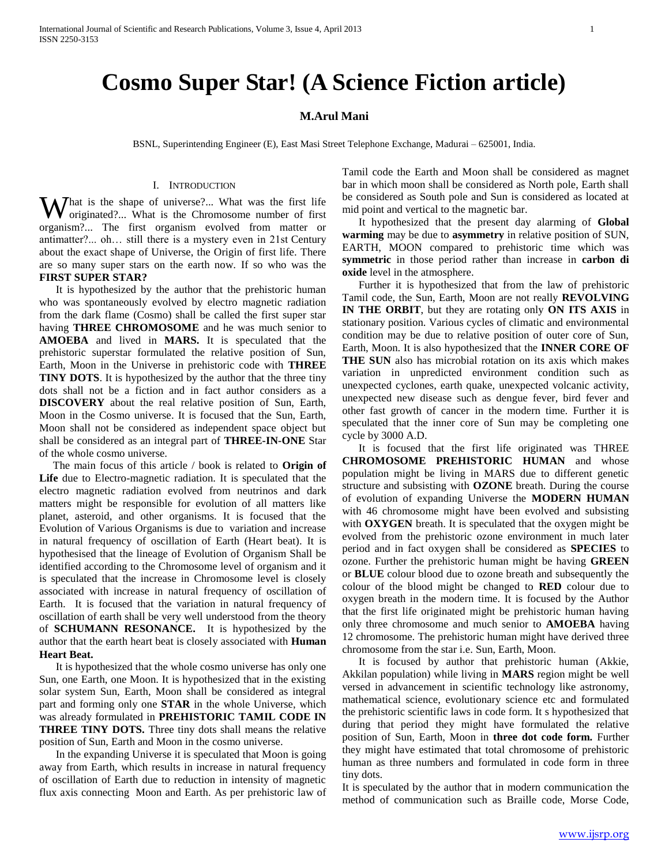# **Cosmo Super Star! (A Science Fiction article)**

## **M.Arul Mani**

BSNL, Superintending Engineer (E), East Masi Street Telephone Exchange, Madurai – 625001, India.

#### I. INTRODUCTION

What is the shape of universe?... What was the first life originated?... What is the Chromosome number of first originated?... What is the Chromosome number of first organism?... The first organism evolved from matter or antimatter?... oh… still there is a mystery even in 21st Century about the exact shape of Universe, the Origin of first life. There are so many super stars on the earth now. If so who was the **FIRST SUPER STAR?**

 It is hypothesized by the author that the prehistoric human who was spontaneously evolved by electro magnetic radiation from the dark flame (Cosmo) shall be called the first super star having **THREE CHROMOSOME** and he was much senior to **AMOEBA** and lived in **MARS.** It is speculated that the prehistoric superstar formulated the relative position of Sun, Earth, Moon in the Universe in prehistoric code with **THREE TINY DOTS**. It is hypothesized by the author that the three tiny dots shall not be a fiction and in fact author considers as a **DISCOVERY** about the real relative position of Sun, Earth, Moon in the Cosmo universe. It is focused that the Sun, Earth, Moon shall not be considered as independent space object but shall be considered as an integral part of **THREE-IN-ONE** Star of the whole cosmo universe.

 The main focus of this article / book is related to **Origin of Life** due to Electro-magnetic radiation. It is speculated that the electro magnetic radiation evolved from neutrinos and dark matters might be responsible for evolution of all matters like planet, asteroid, and other organisms. It is focused that the Evolution of Various Organisms is due to variation and increase in natural frequency of oscillation of Earth (Heart beat). It is hypothesised that the lineage of Evolution of Organism Shall be identified according to the Chromosome level of organism and it is speculated that the increase in Chromosome level is closely associated with increase in natural frequency of oscillation of Earth. It is focused that the variation in natural frequency of oscillation of earth shall be very well understood from the theory of **SCHUMANN RESONANCE.** It is hypothesized by the author that the earth heart beat is closely associated with **Human Heart Beat.**

 It is hypothesized that the whole cosmo universe has only one Sun, one Earth, one Moon. It is hypothesized that in the existing solar system Sun, Earth, Moon shall be considered as integral part and forming only one **STAR** in the whole Universe, which was already formulated in **PREHISTORIC TAMIL CODE IN THREE TINY DOTS.** Three tiny dots shall means the relative position of Sun, Earth and Moon in the cosmo universe.

 In the expanding Universe it is speculated that Moon is going away from Earth, which results in increase in natural frequency of oscillation of Earth due to reduction in intensity of magnetic flux axis connecting Moon and Earth. As per prehistoric law of Tamil code the Earth and Moon shall be considered as magnet bar in which moon shall be considered as North pole, Earth shall be considered as South pole and Sun is considered as located at mid point and vertical to the magnetic bar.

 It hypothesized that the present day alarming of **Global warming** may be due to **asymmetry** in relative position of SUN, EARTH, MOON compared to prehistoric time which was **symmetric** in those period rather than increase in **carbon di oxide** level in the atmosphere.

 Further it is hypothesized that from the law of prehistoric Tamil code, the Sun, Earth, Moon are not really **REVOLVING IN THE ORBIT**, but they are rotating only **ON ITS AXIS** in stationary position. Various cycles of climatic and environmental condition may be due to relative position of outer core of Sun, Earth, Moon. It is also hypothesized that the **INNER CORE OF THE SUN** also has microbial rotation on its axis which makes variation in unpredicted environment condition such as unexpected cyclones, earth quake, unexpected volcanic activity, unexpected new disease such as dengue fever, bird fever and other fast growth of cancer in the modern time. Further it is speculated that the inner core of Sun may be completing one cycle by 3000 A.D.

 It is focused that the first life originated was THREE **CHROMOSOME PREHISTORIC HUMAN** and whose population might be living in MARS due to different genetic structure and subsisting with **OZONE** breath. During the course of evolution of expanding Universe the **MODERN HUMAN**  with 46 chromosome might have been evolved and subsisting with **OXYGEN** breath. It is speculated that the oxygen might be evolved from the prehistoric ozone environment in much later period and in fact oxygen shall be considered as **SPECIES** to ozone. Further the prehistoric human might be having **GREEN** or **BLUE** colour blood due to ozone breath and subsequently the colour of the blood might be changed to **RED** colour due to oxygen breath in the modern time. It is focused by the Author that the first life originated might be prehistoric human having only three chromosome and much senior to **AMOEBA** having 12 chromosome. The prehistoric human might have derived three chromosome from the star i.e. Sun, Earth, Moon.

 It is focused by author that prehistoric human (Akkie, Akkilan population) while living in **MARS** region might be well versed in advancement in scientific technology like astronomy, mathematical science, evolutionary science etc and formulated the prehistoric scientific laws in code form. It s hypothesized that during that period they might have formulated the relative position of Sun, Earth, Moon in **three dot code form.** Further they might have estimated that total chromosome of prehistoric human as three numbers and formulated in code form in three tiny dots.

It is speculated by the author that in modern communication the method of communication such as Braille code, Morse Code,